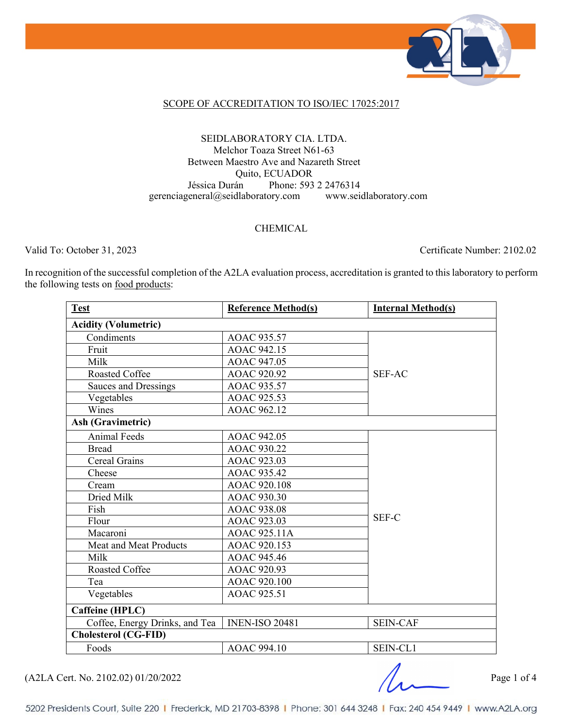

#### SCOPE OF ACCREDITATION TO ISO/IEC 17025:2017

### SEIDLABORATORY CIA. LTDA. Melchor Toaza Street N61-63 Between Maestro Ave and Nazareth Street Quito, ECUADOR Jéssica Durán Phone: 593 2 2476314 gerenciageneral@seidlaboratory.com www.seidlaboratory.com

### CHEMICAL

Valid To: October 31, 2023 Certificate Number: 2102.02

In recognition of the successful completion of the A2LA evaluation process, accreditation is granted to this laboratory to perform the following tests on food products:

| <b>Test</b>                    | <b>Reference Method(s)</b> | <b>Internal Method(s)</b> |  |  |
|--------------------------------|----------------------------|---------------------------|--|--|
| <b>Acidity (Volumetric)</b>    |                            |                           |  |  |
| Condiments                     | AOAC 935.57                |                           |  |  |
| Fruit                          | AOAC 942.15                |                           |  |  |
| Milk                           | AOAC 947.05                |                           |  |  |
| Roasted Coffee                 | AOAC 920.92                | <b>SEF-AC</b>             |  |  |
| Sauces and Dressings           | AOAC 935.57                |                           |  |  |
| Vegetables                     | AOAC 925.53                |                           |  |  |
| Wines                          | AOAC 962.12                |                           |  |  |
| <b>Ash (Gravimetric)</b>       |                            |                           |  |  |
| <b>Animal Feeds</b>            | AOAC 942.05                |                           |  |  |
| <b>Bread</b>                   | AOAC 930.22                |                           |  |  |
| Cereal Grains                  | AOAC 923.03                |                           |  |  |
| Cheese                         | AOAC 935.42                |                           |  |  |
| Cream                          | AOAC 920.108               |                           |  |  |
| Dried Milk                     | <b>AOAC 930.30</b>         |                           |  |  |
| Fish                           | <b>AOAC 938.08</b>         |                           |  |  |
| Flour                          | AOAC 923.03                | SEF-C                     |  |  |
| Macaroni                       | AOAC 925.11A               |                           |  |  |
| Meat and Meat Products         | AOAC 920.153               |                           |  |  |
| Milk                           | AOAC 945.46                |                           |  |  |
| Roasted Coffee                 | AOAC 920.93                |                           |  |  |
| Tea                            | AOAC 920.100               |                           |  |  |
| Vegetables                     | AOAC 925.51                |                           |  |  |
| Caffeine (HPLC)                |                            |                           |  |  |
| Coffee, Energy Drinks, and Tea | <b>INEN-ISO 20481</b>      | <b>SEIN-CAF</b>           |  |  |
| <b>Cholesterol (CG-FID)</b>    |                            |                           |  |  |
| Foods                          | AOAC 994.10                | SEIN-CL1                  |  |  |

 $(A2LA$  Cert. No. 2102.02) 01/20/2022 Page 1 of 4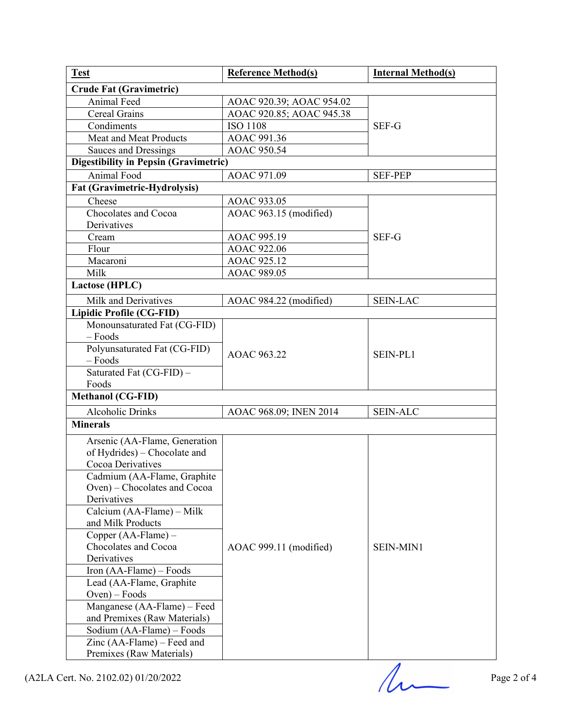| <b>Test</b>                                               | <b>Reference Method(s)</b> | <b>Internal Method(s)</b> |
|-----------------------------------------------------------|----------------------------|---------------------------|
| <b>Crude Fat (Gravimetric)</b>                            |                            |                           |
| Animal Feed                                               | AOAC 920.39; AOAC 954.02   |                           |
| Cereal Grains                                             | AOAC 920.85; AOAC 945.38   |                           |
| Condiments                                                | <b>ISO 1108</b>            | SEF-G                     |
| Meat and Meat Products                                    | AOAC 991.36                |                           |
| Sauces and Dressings                                      | AOAC 950.54                |                           |
| <b>Digestibility in Pepsin (Gravimetric)</b>              |                            |                           |
| Animal Food                                               | AOAC 971.09                | <b>SEF-PEP</b>            |
| Fat (Gravimetric-Hydrolysis)                              |                            |                           |
| Cheese                                                    | AOAC 933.05                |                           |
| Chocolates and Cocoa                                      | AOAC 963.15 (modified)     |                           |
| Derivatives                                               |                            |                           |
| Cream                                                     | AOAC 995.19                | SEF-G                     |
| Flour                                                     | AOAC 922.06                |                           |
| Macaroni                                                  | AOAC 925.12                |                           |
| Milk                                                      | AOAC 989.05                |                           |
| Lactose (HPLC)                                            |                            |                           |
| Milk and Derivatives                                      | AOAC 984.22 (modified)     | <b>SEIN-LAC</b>           |
| <b>Lipidic Profile (CG-FID)</b>                           |                            |                           |
| Monounsaturated Fat (CG-FID)                              |                            |                           |
| $-$ Foods                                                 |                            | SEIN-PL1                  |
| Polyunsaturated Fat (CG-FID)                              |                            |                           |
| $-$ Foods                                                 | AOAC 963.22                |                           |
| Saturated Fat $(\overline{CG-FID}) -$                     |                            |                           |
| Foods                                                     |                            |                           |
| <b>Methanol (CG-FID)</b>                                  |                            |                           |
| <b>Alcoholic Drinks</b>                                   | AOAC 968.09; INEN 2014     | <b>SEIN-ALC</b>           |
| <b>Minerals</b>                                           |                            |                           |
|                                                           |                            |                           |
| Arsenic (AA-Flame, Generation                             |                            |                           |
| of Hydrides) – Chocolate and                              |                            |                           |
| Cocoa Derivatives                                         |                            |                           |
| Cadmium (AA-Flame, Graphite                               |                            |                           |
| Oven) – Chocolates and Cocoa                              |                            |                           |
| Derivatives<br>Calcium (AA-Flame) – Milk                  |                            | <b>SEIN-MIN1</b>          |
| and Milk Products                                         |                            |                           |
| Copper (AA-Flame) -                                       |                            |                           |
| Chocolates and Cocoa                                      |                            |                           |
| Derivatives                                               | AOAC 999.11 (modified)     |                           |
|                                                           |                            |                           |
| Iron (AA-Flame) – Foods                                   |                            |                           |
|                                                           |                            |                           |
| Lead (AA-Flame, Graphite                                  |                            |                           |
| $Oven$ – Foods                                            |                            |                           |
| Manganese (AA-Flame) – Feed                               |                            |                           |
| and Premixes (Raw Materials)                              |                            |                           |
| Sodium (AA-Flame) - Foods                                 |                            |                           |
| Zinc $(AA$ -Flame) – Feed and<br>Premixes (Raw Materials) |                            |                           |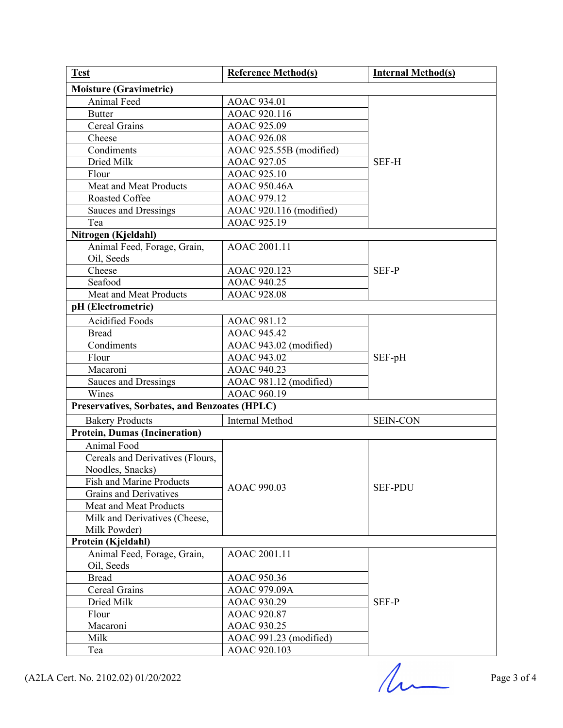| <b>Test</b>                                   | <b>Reference Method(s)</b> | <b>Internal Method(s)</b> |  |
|-----------------------------------------------|----------------------------|---------------------------|--|
| <b>Moisture (Gravimetric)</b>                 |                            |                           |  |
| Animal Feed                                   | AOAC 934.01                |                           |  |
| <b>Butter</b>                                 | AOAC 920.116               |                           |  |
| Cereal Grains                                 | AOAC 925.09                |                           |  |
| Cheese                                        | AOAC 926.08                |                           |  |
| Condiments                                    | AOAC 925.55B (modified)    | SEF-H                     |  |
| Dried Milk                                    | AOAC 927.05                |                           |  |
| Flour                                         | AOAC 925.10                |                           |  |
| <b>Meat and Meat Products</b>                 | AOAC 950.46A               |                           |  |
| Roasted Coffee                                | AOAC 979.12                |                           |  |
| Sauces and Dressings                          | AOAC 920.116 (modified)    |                           |  |
| Tea                                           | AOAC 925.19                |                           |  |
| Nitrogen (Kjeldahl)                           |                            |                           |  |
| Animal Feed, Forage, Grain,                   | AOAC 2001.11               |                           |  |
| Oil, Seeds                                    |                            |                           |  |
| Cheese                                        | AOAC 920.123               | SEF-P                     |  |
| Seafood                                       | AOAC 940.25                |                           |  |
| Meat and Meat Products                        | AOAC 928.08                |                           |  |
| pH (Electrometric)                            |                            |                           |  |
| Acidified Foods                               | AOAC 981.12                |                           |  |
| <b>Bread</b>                                  | AOAC 945.42                |                           |  |
| Condiments                                    | AOAC 943.02 (modified)     | SEF-pH                    |  |
| Flour                                         | AOAC 943.02                |                           |  |
| Macaroni                                      | AOAC 940.23                |                           |  |
| <b>Sauces and Dressings</b>                   | AOAC 981.12 (modified)     |                           |  |
| Wines                                         | AOAC 960.19                |                           |  |
| Preservatives, Sorbates, and Benzoates (HPLC) |                            |                           |  |
| <b>Bakery Products</b>                        | <b>Internal Method</b>     | <b>SEIN-CON</b>           |  |
| <b>Protein, Dumas (Incineration)</b>          |                            |                           |  |
| Animal Food                                   |                            | <b>SEF-PDU</b>            |  |
| Cereals and Derivatives (Flours,              |                            |                           |  |
| Noodles, Snacks)                              |                            |                           |  |
| Fish and Marine Products                      |                            |                           |  |
| <b>Grains and Derivatives</b>                 | AOAC 990.03                |                           |  |
| Meat and Meat Products                        |                            |                           |  |
| Milk and Derivatives (Cheese,                 |                            |                           |  |
| Milk Powder)                                  |                            |                           |  |
| Protein (Kjeldahl)                            |                            |                           |  |
| Animal Feed, Forage, Grain,                   | AOAC 2001.11               |                           |  |
| Oil, Seeds                                    |                            |                           |  |
| <b>Bread</b>                                  | AOAC 950.36                |                           |  |
| Cereal Grains                                 | AOAC 979.09A               |                           |  |
| Dried Milk                                    | AOAC 930.29                | SEF-P                     |  |
| Flour                                         | AOAC 920.87                |                           |  |
| Macaroni                                      | AOAC 930.25                |                           |  |
| Milk                                          | AOAC 991.23 (modified)     |                           |  |
| Tea                                           | AOAC 920.103               |                           |  |

 $(A2LA$  Cert. No. 2102.02) 01/20/2022 Page 3 of 4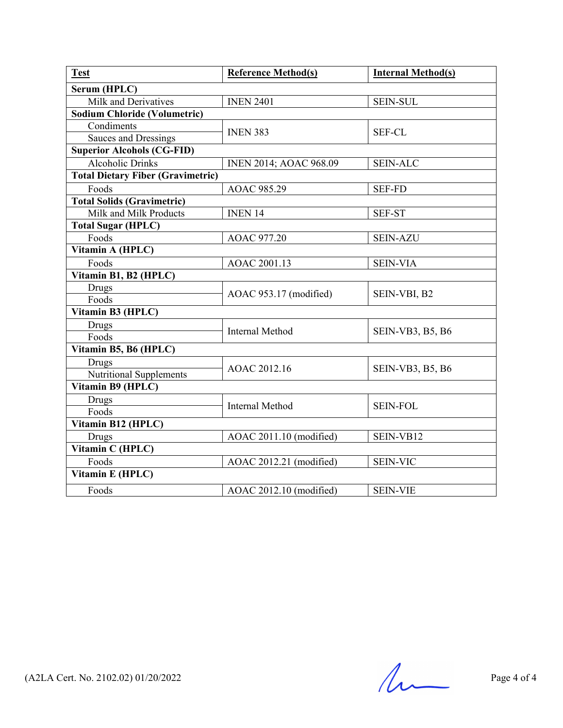| <b>Test</b>                              | <b>Reference Method(s)</b>    | <b>Internal Method(s)</b> |  |  |
|------------------------------------------|-------------------------------|---------------------------|--|--|
| Serum (HPLC)                             |                               |                           |  |  |
| Milk and Derivatives                     | <b>INEN 2401</b>              | <b>SEIN-SUL</b>           |  |  |
| <b>Sodium Chloride (Volumetric)</b>      |                               |                           |  |  |
| Condiments                               | <b>INEN 383</b>               | <b>SEF-CL</b>             |  |  |
| <b>Sauces and Dressings</b>              |                               |                           |  |  |
| <b>Superior Alcohols (CG-FID)</b>        |                               |                           |  |  |
| <b>Alcoholic Drinks</b>                  | <b>INEN 2014; AOAC 968.09</b> | <b>SEIN-ALC</b>           |  |  |
| <b>Total Dietary Fiber (Gravimetric)</b> |                               |                           |  |  |
| Foods                                    | AOAC 985.29                   | <b>SEF-FD</b>             |  |  |
| <b>Total Solids (Gravimetric)</b>        |                               |                           |  |  |
| Milk and Milk Products                   | INEN <sub>14</sub>            | <b>SEF-ST</b>             |  |  |
| <b>Total Sugar (HPLC)</b>                |                               |                           |  |  |
| Foods                                    | <b>AOAC 977.20</b>            | <b>SEIN-AZU</b>           |  |  |
| Vitamin A (HPLC)                         |                               |                           |  |  |
| Foods                                    | AOAC 2001.13                  | <b>SEIN-VIA</b>           |  |  |
| Vitamin B1, B2 (HPLC)                    |                               |                           |  |  |
| Drugs                                    | AOAC 953.17 (modified)        | SEIN-VBI, B2              |  |  |
| Foods                                    |                               |                           |  |  |
| Vitamin B3 (HPLC)                        |                               |                           |  |  |
| Drugs                                    | <b>Internal Method</b>        | SEIN-VB3, B5, B6          |  |  |
| Foods                                    |                               |                           |  |  |
| Vitamin B5, B6 (HPLC)                    |                               |                           |  |  |
| Drugs                                    | AOAC 2012.16                  | SEIN-VB3, B5, B6          |  |  |
| <b>Nutritional Supplements</b>           |                               |                           |  |  |
| Vitamin B9 (HPLC)                        |                               |                           |  |  |
| Drugs                                    | <b>Internal Method</b>        | <b>SEIN-FOL</b>           |  |  |
| Foods                                    |                               |                           |  |  |
| Vitamin B12 (HPLC)                       |                               |                           |  |  |
| Drugs                                    | AOAC 2011.10 (modified)       | SEIN-VB12                 |  |  |
| Vitamin C (HPLC)                         |                               |                           |  |  |
| Foods                                    | AOAC 2012.21 (modified)       | <b>SEIN-VIC</b>           |  |  |
| Vitamin E (HPLC)                         |                               |                           |  |  |
| Foods                                    | AOAC 2012.10 (modified)       | <b>SEIN-VIE</b>           |  |  |

 $(A2LA$  Cert. No. 2102.02) 01/20/2022 Page 4 of 4